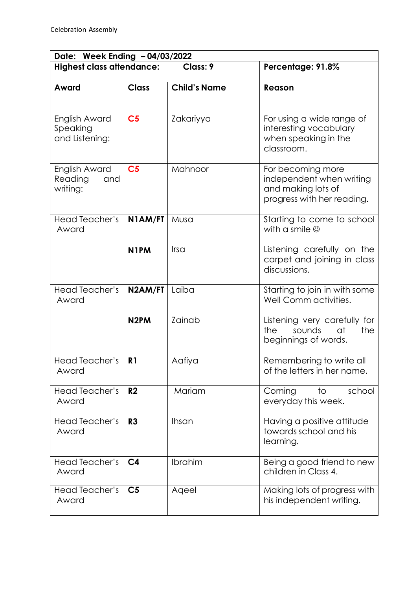| Date: Week Ending - 04/03/2022              |                   |                     |                                                                                                   |  |  |
|---------------------------------------------|-------------------|---------------------|---------------------------------------------------------------------------------------------------|--|--|
| <b>Highest class attendance:</b>            |                   | Class: 9            | Percentage: 91.8%                                                                                 |  |  |
| Award                                       | <b>Class</b>      | <b>Child's Name</b> | Reason                                                                                            |  |  |
|                                             |                   |                     |                                                                                                   |  |  |
| English Award<br>Speaking<br>and Listening: | C <sub>5</sub>    | Zakariyya           | For using a wide range of<br>interesting vocabulary<br>when speaking in the<br>classroom.         |  |  |
| English Award<br>Reading<br>and<br>writing: | C <sub>5</sub>    | Mahnoor             | For becoming more<br>independent when writing<br>and making lots of<br>progress with her reading. |  |  |
| Head Teacher's<br>Award                     | N1AM/FT           | Musa                | Starting to come to school<br>with a smile $\circledcirc$                                         |  |  |
|                                             | N <sub>1</sub> PM | Irsa                | Listening carefully on the<br>carpet and joining in class<br>discussions.                         |  |  |
| Head Teacher's<br>Award                     | N2AM/FT           | Laiba               | Starting to join in with some<br>Well Comm activities.                                            |  |  |
|                                             | N <sub>2</sub> PM | Zainab              | Listening very carefully for<br>the<br>sounds<br>at<br>the<br>beginnings of words.                |  |  |
| Head Teacher's<br>Award                     | R <sub>1</sub>    | Aafiya              | Remembering to write all<br>of the letters in her name.                                           |  |  |
| <b>Head Teacher's</b><br>Award              | R <sub>2</sub>    | Mariam              | Coming<br>school<br>to<br>everyday this week.                                                     |  |  |
| Head Teacher's<br>Award                     | R3                | Ihsan               | Having a positive attitude<br>towards school and his<br>learning.                                 |  |  |
| <b>Head Teacher's</b><br>Award              | C <sub>4</sub>    | Ibrahim             | Being a good friend to new<br>children in Class 4.                                                |  |  |
| Head Teacher's<br>Award                     | C <sub>5</sub>    | Aqeel               | Making lots of progress with<br>his independent writing.                                          |  |  |